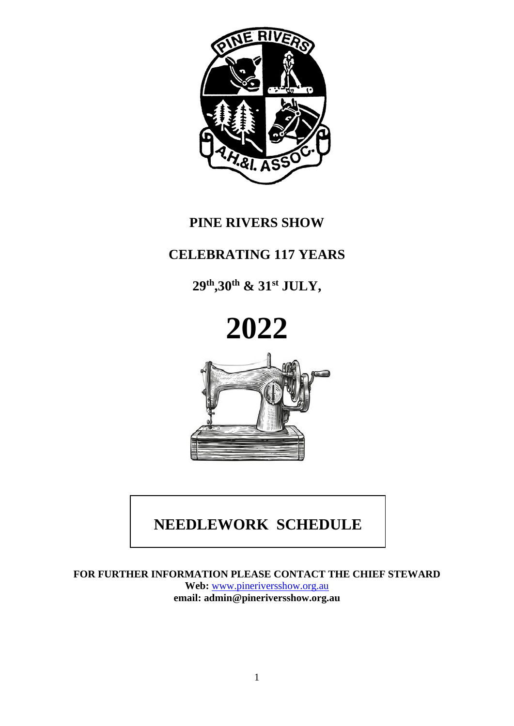

# **PINE RIVERS SHOW**

# **CELEBRATING 117 YEARS**

**29th ,30th & 31st JULY,** 



# **NEEDLEWORK SCHEDULE**

**FOR FURTHER INFORMATION PLEASE CONTACT THE CHIEF STEWARD Web:** [www.pineriversshow.org.au](http://www.pineriversshow.org.au/) **email: admin@pineriversshow.org.au**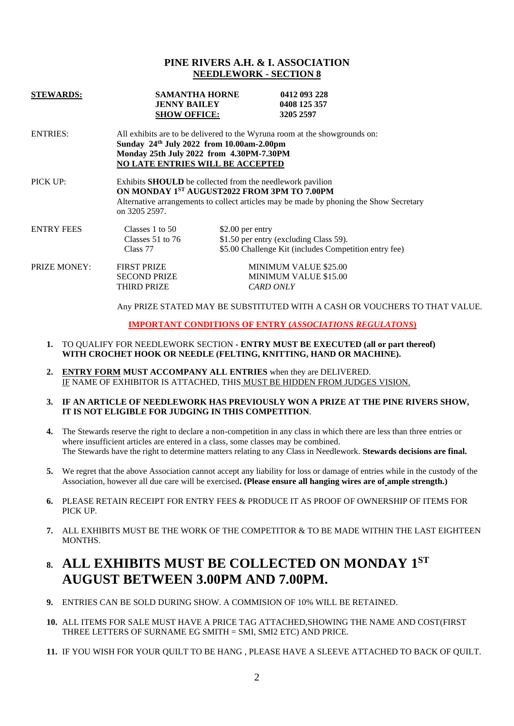#### **PINE RIVERS A.H. & I. ASSOCIATION NEEDLEWORK - SECTION 8**

| <b>STEWARDS:</b>    | <b>SAMANTHA HORNE</b><br><b>JENNY BAILEY</b><br><b>SHOW OFFICE:</b>                                                                                                                                                        | 0412 093 228<br>0408 125 357<br>3205 2597                                                                           |  |  |  |
|---------------------|----------------------------------------------------------------------------------------------------------------------------------------------------------------------------------------------------------------------------|---------------------------------------------------------------------------------------------------------------------|--|--|--|
| <b>ENTRIES:</b>     | All exhibits are to be delivered to the Wyruna room at the showgrounds on:<br>Sunday 24th July 2022 from 10.00am-2.00pm<br>Monday 25th July 2022 from 4.30PM-7.30PM<br><b>NO LATE ENTRIES WILL BE ACCEPTED</b>             |                                                                                                                     |  |  |  |
| PICK UP:            | Exhibits <b>SHOULD</b> be collected from the needlework pavilion<br>ON MONDAY 1ST AUGUST2022 FROM 3PM TO 7.00PM<br>Alternative arrangements to collect articles may be made by phoning the Show Secretary<br>on 3205 2597. |                                                                                                                     |  |  |  |
| <b>ENTRY FEES</b>   | Classes 1 to 50<br>Classes $51$ to $76$<br>Class 77                                                                                                                                                                        | \$2.00 per entry<br>\$1.50 per entry (excluding Class 59).<br>\$5.00 Challenge Kit (includes Competition entry fee) |  |  |  |
| <b>PRIZE MONEY:</b> | <b>FIRST PRIZE</b><br><b>SECOND PRIZE</b><br>THIRD PRIZE                                                                                                                                                                   | <b>MINIMUM VALUE \$25.00</b><br><b>MINIMUM VALUE \$15.00</b><br><b>CARD ONLY</b>                                    |  |  |  |

Any PRIZE STATED MAY BE SUBSTITUTED WITH A CASH OR VOUCHERS TO THAT VALUE.

**IMPORTANT CONDITIONS OF ENTRY (***ASSOCIATIONS REGULATONS***)**

- **1.** TO QUALIFY FOR NEEDLEWORK SECTION **- ENTRY MUST BE EXECUTED (all or part thereof) WITH CROCHET HOOK OR NEEDLE (FELTING, KNITTING, HAND OR MACHINE).**
- **2. ENTRY FORM MUST ACCOMPANY ALL ENTRIES** when they are DELIVERED. IF NAME OF EXHIBITOR IS ATTACHED, THIS MUST BE HIDDEN FROM JUDGES VISION.
- **3. IF AN ARTICLE OF NEEDLEWORK HAS PREVIOUSLY WON A PRIZE AT THE PINE RIVERS SHOW, IT IS NOT ELIGIBLE FOR JUDGING IN THIS COMPETITION**.
- **4.** The Stewards reserve the right to declare a non-competition in any class in which there are less than three entries or where insufficient articles are entered in a class, some classes may be combined. The Stewards have the right to determine matters relating to any Class in Needlework. **Stewards decisions are final.**
- **5.** We regret that the above Association cannot accept any liability for loss or damage of entries while in the custody of the Association, however all due care will be exercised**. (Please ensure all hanging wires are of ample strength.)**
- **6.** PLEASE RETAIN RECEIPT FOR ENTRY FEES & PRODUCE IT AS PROOF OF OWNERSHIP OF ITEMS FOR PICK UP.
- **7.** ALL EXHIBITS MUST BE THE WORK OF THE COMPETITOR & TO BE MADE WITHIN THE LAST EIGHTEEN MONTHS.

### **8. ALL EXHIBITS MUST BE COLLECTED ON MONDAY 1 ST AUGUST BETWEEN 3.00PM AND 7.00PM.**

- **9.** ENTRIES CAN BE SOLD DURING SHOW. A COMMISION OF 10% WILL BE RETAINED.
- **10.** ALL ITEMS FOR SALE MUST HAVE A PRICE TAG ATTACHED,SHOWING THE NAME AND COST(FIRST THREE LETTERS OF SURNAME EG SMITH = SMI, SMI2 ETC) AND PRICE.
- **11.** IF YOU WISH FOR YOUR QUILT TO BE HANG , PLEASE HAVE A SLEEVE ATTACHED TO BACK OF QUILT.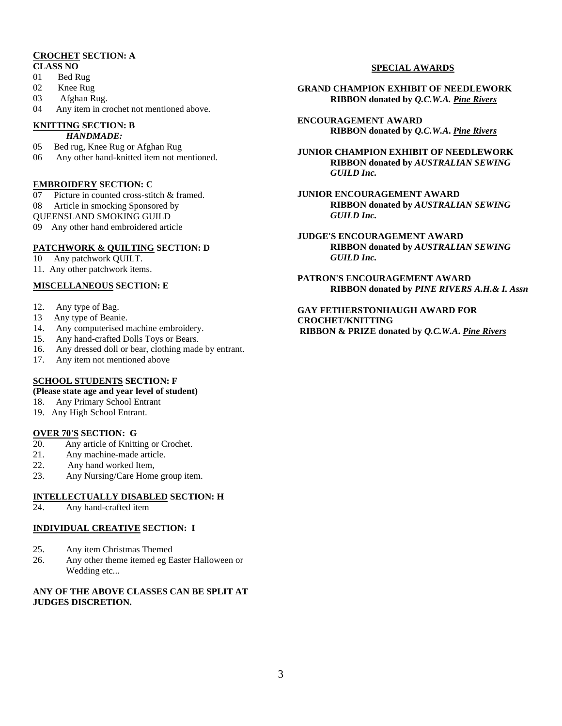### **CROCHET SECTION: A**

- **CLASS NO**
- 01 Bed Rug
- 02 Knee Rug
- 03 Afghan Rug.
- 04 Any item in crochet not mentioned above.

#### **KNITTING SECTION: B**

- *HANDMADE:*
- 05 Bed rug, Knee Rug or Afghan Rug
- 06 Any other hand-knitted item not mentioned.

#### **EMBROIDERY SECTION: C**

- 07 Picture in counted cross-stitch & framed.
- 08 Article in smocking Sponsored by
- QUEENSLAND SMOKING GUILD
- 09 Any other hand embroidered article

#### **PATCHWORK & QUILTING SECTION: D**

- 10 Any patchwork OUILT.
- 11. Any other patchwork items.

#### **MISCELLANEOUS SECTION: E**

- 12.Any type of Bag.
- 13 Any type of Beanie.
- 14. Any computerised machine embroidery.
- 15. Any hand-crafted Dolls Toys or Bears.
- 16. Any dressed doll or bear, clothing made by entrant.
- 17. Any item not mentioned above

#### **SCHOOL STUDENTS SECTION: F**

#### **(Please state age and year level of student)**

- 18. Any Primary School Entrant
- 19. Any High School Entrant.

#### **OVER 70'S SECTION: G**

- 20. Any article of Knitting or Crochet.
- 21. Any machine-made article.
- 22. Any hand worked Item,
- 23. Any Nursing/Care Home group item.

#### **INTELLECTUALLY DISABLED SECTION: H**

24. Any hand-crafted item

#### **INDIVIDUAL CREATIVE SECTION: I**

- 25. Any item Christmas Themed
- 26. Any other theme itemed eg Easter Halloween or Wedding etc...

#### **ANY OF THE ABOVE CLASSES CAN BE SPLIT AT JUDGES DISCRETION.**

#### **SPECIAL AWARDS**

- **GRAND CHAMPION EXHIBIT OF NEEDLEWORK RIBBON donated by** *Q.C.W.A. Pine Rivers*
- **ENCOURAGEMENT AWARD RIBBON donated by** *Q.C.W.A***.** *Pine Rivers*
- **JUNIOR CHAMPION EXHIBIT OF NEEDLEWORK RIBBON donated by** *AUSTRALIAN SEWING GUILD Inc.*
- **JUNIOR ENCOURAGEMENT AWARD RIBBON donated by** *AUSTRALIAN SEWING GUILD Inc.*
- **JUDGE'S ENCOURAGEMENT AWARD RIBBON donated by** *AUSTRALIAN SEWING GUILD Inc.*
- **PATRON'S ENCOURAGEMENT AWARD RIBBON donated by** *PINE RIVERS A.H.& I. Assn*

#### **GAY FETHERSTONHAUGH AWARD FOR CROCHET/KNITTING RIBBON & PRIZE donated by** *Q.C.W.A***.** *Pine Rivers*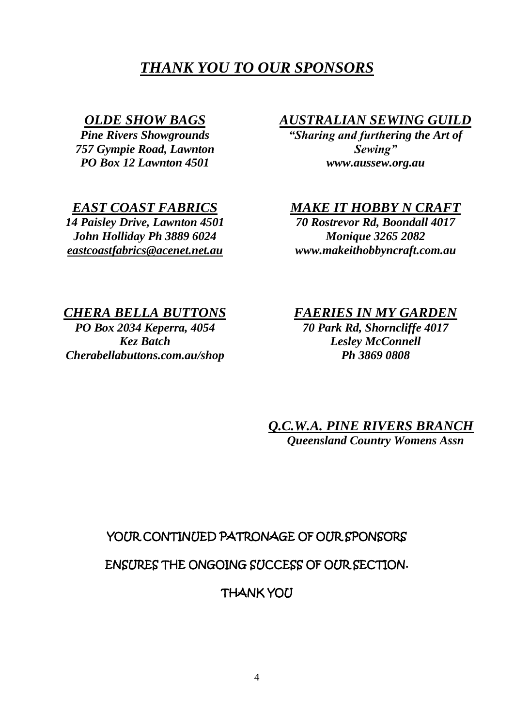# *THANK YOU TO OUR SPONSORS*

### *OLDE SHOW BAGS*

*Pine Rivers Showgrounds 757 Gympie Road, Lawnton PO Box 12 Lawnton 4501*

### *EAST COAST FABRICS*

*14 Paisley Drive, Lawnton 4501 John Holliday Ph 3889 6024 [eastcoastfabrics@acenet.net.au](mailto:eastcoastfabrics@acenet.net.au)*

### *AUSTRALIAN SEWING GUILD*

*"Sharing and furthering the Art of Sewing" www.aussew.org.au*

### *MAKE IT HOBBY N CRAFT*

*70 Rostrevor Rd, Boondall 4017 Monique 3265 2082 www.makeithobbyncraft.com.au*

### *CHERA BELLA BUTTONS*

*PO Box 2034 Keperra, 4054 Kez Batch Cherabellabuttons.com.au/shop*

### *FAERIES IN MY GARDEN*

*70 Park Rd, Shorncliffe 4017 Lesley McConnell Ph 3869 0808*

*Q.C.W.A. PINE RIVERS BRANCH Queensland Country Womens Assn*

### YOUR CONTINUED PATRONAGE OF OUR SPONSORS

### ENSURES THE ONGOING SUCCESS OF OUR SECTION.

**THANK YOU**